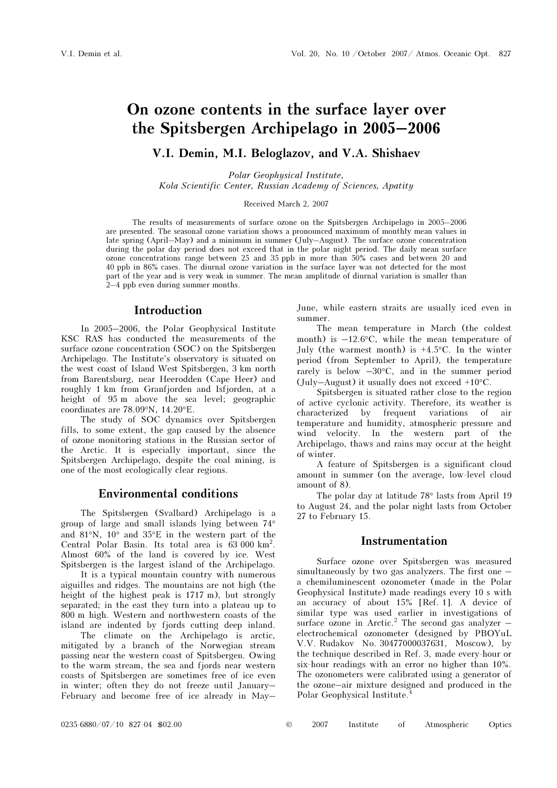# On ozone contents in the surface layer over<br>the Spitsbergen Archipelago in 2005–2006  $t_{\rm F}$  the segmentary  $t_{\rm m}$  of  $t_{\rm m}$  in 2005–2006–2006

V.I. Demin, M.I. Beloglazov, and V.A. Shishaev

Polar Geophysical Institute, Kola Scientific Center, Russian Academy of Sciences, Apatity

Received March 2, 2007

The results of measurements of surface ozone on the Spitsbergen Archipelago in 2005–2006 are presented. The seasonal ozone variation shows a pronounced maximum of monthly mean values in late spring (April–May) and a minimum in summer (July–August). The surface ozone concentration during the polar day period does not exceed that in the polar night period. The daily mean surface ozone concentrations range between 25 and 35 ppb in more than 50% cases and between 20 and 40 ppb in 86% cases. The diurnal ozone variation in the surface layer was not detected for the most part of the year and is very weak in summer. The mean amplitude of diurnal variation is smaller than 2–4 ppb even during summer months.

## Introduction

In 2005–2006, the Polar Geophysical Institute KSC RAS has conducted the measurements of the surface ozone concentration (SOC) on the Spitsbergen Archipelago. The Institute's observatory is situated on the west coast of Island West Spitsbergen, 3 km north from Barentsburg, near Heerodden (Cape Heer) and roughly 1 km from Granfjorden and Isfjorden, at a height of 95 m above the sea level; geographic coordinates are 78.09°N, 14.20°E.

The study of SOC dynamics over Spitsbergen fills, to some extent, the gap caused by the absence of ozone monitoring stations in the Russian sector of the Arctic. It is especially important, since the Spitsbergen Archipelago, despite the coal mining, is one of the most ecologically clear regions.

## Environmental conditions

The Spitsbergen (Svalbard) Archipelago is a group of large and small islands lying between 74° and 81°N, 10° and 35°E in the western part of the Central Polar Basin. Its total area is 63 000 km<sup>2</sup>. Almost 60% of the land is covered by ice. West Spitsbergen is the largest island of the Archipelago.

 It is a typical mountain country with numerous aiguilles and ridges. The mountains are not high (the height of the highest peak is 1717 m), but strongly separated; in the east they turn into a plateau up to 800 m high. Western and northwestern coasts of the island are indented by fjords cutting deep inland.

 The climate on the Archipelago is arctic, mitigated by a branch of the Norwegian stream passing near the western coast of Spitsbergen. Owing to the warm stream, the sea and fjords near western coasts of Spitsbergen are sometimes free of ice even in winter; often they do not freeze until January– February and become free of ice already in May–

June, while eastern straits are usually iced even in summer.

The mean temperature in March (the coldest month) is  $-12.6$ °C, while the mean temperature of July (the warmest month) is  $+4.5$ °C. In the winter period (from September to April), the temperature rarely is below –30°C, and in the summer period rarely is below  $-30^{\circ}$ C, and in the summer period (July–August) it usually does not exceed +10 $^{\circ}$ C.

Spitsbergen is situated rather close to the region of active cyclonic activity. Therefore, its weather is characterized by frequent variations of air temperature and humidity, atmospheric pressure and wind velocity. In the western part of the Archipelago, thaws and rains may occur at the height of winter.

A feature of Spitsbergen is a significant cloud amount in summer (on the average, low-level cloud amount of 8).

The polar day at latitude 78° lasts from April 19 to August 24, and the polar night lasts from October 27 to February 15.

## Instrumentation

Surface ozone over Spitsbergen was measured simultaneously by two gas analyzers. The first one – a chemiluminescent ozonometer (made in the Polar Geophysical Institute) made readings every 10 s with an accuracy of about 15% [Ref. 1]. A device of similar type was used earlier in investigations of surface ozone in Arctic.<sup>2</sup> The second gas analyzer  $$ electrochemical ozonometer (designed by PBOYuL V.V. Rudakov No. 30477000037631, Moscow), by the technique described in Ref. 3, made every-hour or six-hour readings with an error no higher than 10%. The ozonometers were calibrated using a generator of the ozone–air mixture designed and produced in the Polar Geophysical Institute.<sup>4</sup>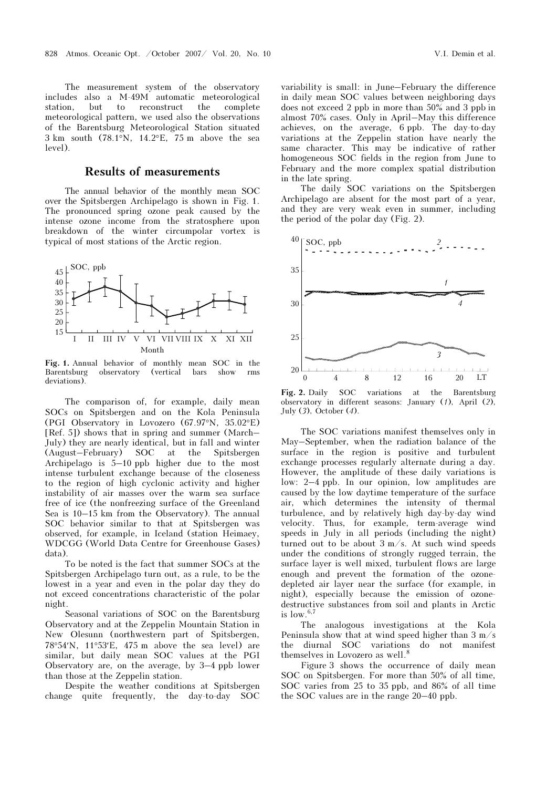The measurement system of the observatory includes also a M-49M automatic meteorological station, but to reconstruct the complete meteorological pattern, we used also the observations of the Barentsburg Meteorological Station situated 3 km south (78.1°N, 14.2°E, 75 m above the sea level).

## Results of measurements

The annual behavior of the monthly mean SOC over the Spitsbergen Archipelago is shown in Fig. 1. The pronounced spring ozone peak caused by the intense ozone income from the stratosphere upon breakdown of the winter circumpolar vortex is typical of most stations of the Arctic region.



Fig. 1. Annual behavior of monthly mean SOC in the Barentsburg observatory (vertical bars show rms observatory deviations).

The comparison of, for example, daily mean SOCs on Spitsbergen and on the Kola Peninsula (PGI Observatory in Lovozero (67.97°N, 35.02°E) [Ref. 5]) shows that in spring and summer (March– July) they are nearly identical, but in fall and winter (August–February) SOC at the Spitsbergen Archipelago is 5–10 ppb higher due to the most intense turbulent exchange because of the closeness to the region of high cyclonic activity and higher instability of air masses over the warm sea surface free of ice (the nonfreezing surface of the Greenland Sea is 10–15 km from the Observatory). The annual SOC behavior similar to that at Spitsbergen was observed, for example, in Iceland (station Heimaey, WDCGG (World Data Centre for Greenhouse Gases) data).

To be noted is the fact that summer SOCs at the Spitsbergen Archipelago turn out, as a rule, to be the lowest in a year and even in the polar day they do not exceed concentrations characteristic of the polar night.

Seasonal variations of SOC on the Barentsburg Observatory and at the Zeppelin Mountain Station in New Olesunn (northwestern part of Spitsbergen, <sup>78</sup>°54′N, 11°53′E, 475 m above the sea level) are similar, but daily mean SOC values at the PGI Observatory are, on the average, by 3–4 ppb lower than those at the Zeppelin station.

Despite the weather conditions at Spitsbergen change quite frequently, the day-to-day SOC variability is small: in June–February the difference in daily mean SOC values between neighboring days does not exceed 2 ppb in more than 50% and 3 ppb in almost 70% cases. Only in April–May this difference achieves, on the average, 6 ppb. The day-to-day variations at the Zeppelin station have nearly the same character. This may be indicative of rather homogeneous SOC fields in the region from June to February and the more complex spatial distribution in the late spring.

The daily SOC variations on the Spitsbergen Archipelago are absent for the most part of a year, and they are very weak even in summer, including the period of the polar day (Fig. 2).



Fig. 2. Daily SOC variations at the Barentsburg observatory in different seasons: January (1), April (2), July  $(3)$ , October  $(4)$ .

The SOC variations manifest themselves only in May–September, when the radiation balance of the surface in the region is positive and turbulent exchange processes regularly alternate during a day. However, the amplitude of these daily variations is low: 2–4 ppb. In our opinion, low amplitudes are caused by the low daytime temperature of the surface air, which determines the intensity of thermal turbulence, and by relatively high day-by-day wind velocity. Thus, for example, term-average wind speeds in July in all periods (including the night) turned out to be about 3 m/s. At such wind speeds under the conditions of strongly rugged terrain, the surface layer is well mixed, turbulent flows are large enough and prevent the formation of the ozonedepleted air layer near the surface (for example, in night), especially because the emission of ozonedestructive substances from soil and plants in Arctic is low.6,7

The analogous investigations at the Kola Peninsula show that at wind speed higher than 3 m/s the diurnal SOC variations do not manifest themselves in Lovozero as well.<sup>8</sup>

Figure 3 shows the occurrence of daily mean SOC on Spitsbergen. For more than 50% of all time, SOC varies from 25 to 35 ppb, and 86% of all time the SOC values are in the range 20–40 ppb.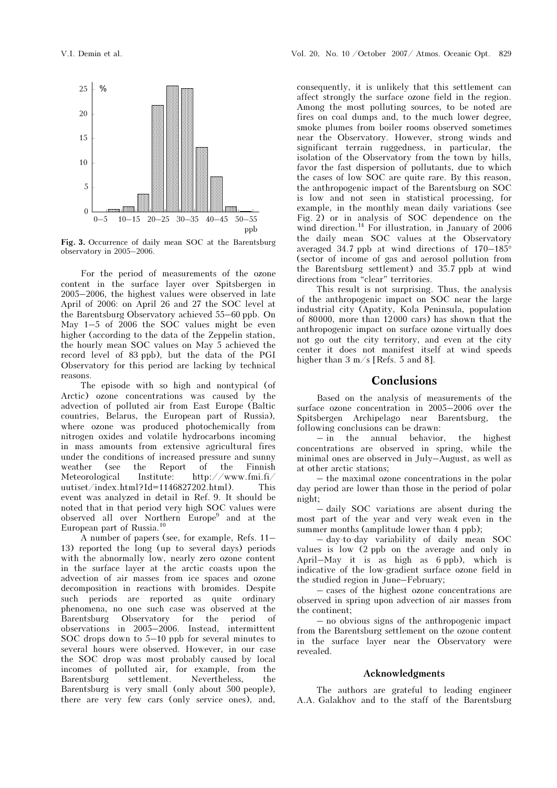

Fig. 3. Occurrence of daily mean SOC at the Barentsburg observatory in 2005–2006.

For the period of measurements of the ozone content in the surface layer over Spitsbergen in 2005–2006, the highest values were observed in late April of 2006: on April 26 and 27 the SOC level at the Barentsburg Observatory achieved 55–60 ppb. On May 1–5 of 2006 the SOC values might be even higher (according to the data of the Zeppelin station, the hourly mean SOC values on May 5 achieved the record level of 83 ppb), but the data of the PGI Observatory for this period are lacking by technical reasons.

The episode with so high and nontypical (of Arctic) ozone concentrations was caused by the advection of polluted air from East Europe (Baltic countries, Belarus, the European part of Russia), where ozone was produced photochemically from nitrogen oxides and volatile hydrocarbons incoming in mass amounts from extensive agricultural fires under the conditions of increased pressure and sunny weather (see the Report of the Finnish Meteorological Institute: http://www.fmi.fi/ uutiset/index.html?Id=1146827202.html). This event was analyzed in detail in Ref. 9. It should be noted that in that period very high SOC values were observed all over Northern Europe<sup>9</sup> and at the European part of Russia.<sup>10</sup>

A number of papers (see, for example, Refs. 11– 13) reported the long (up to several days) periods with the abnormally low, nearly zero ozone content in the surface layer at the arctic coasts upon the advection of air masses from ice spaces and ozone decomposition in reactions with bromides. Despite such periods are reported as quite ordinary phenomena, no one such case was observed at the Barentsburg Observatory for the period of observations in 2005–2006. Instead, intermittent SOC drops down to 5–10 ppb for several minutes to several hours were observed. However, in our case the SOC drop was most probably caused by local incomes of polluted air, for example, from the Barentsburg settlement. Nevertheless, the Barentsburg is very small (only about 500 people), there are very few cars (only service ones), and,

consequently, it is unlikely that this settlement can affect strongly the surface ozone field in the region. Among the most polluting sources, to be noted are fires on coal dumps and, to the much lower degree, smoke plumes from boiler rooms observed sometimes near the Observatory. However, strong winds and significant terrain ruggedness, in particular, the isolation of the Observatory from the town by hills, favor the fast dispersion of pollutants, due to which the cases of low SOC are quite rare. By this reason, the anthropogenic impact of the Barentsburg on SOC is low and not seen in statistical processing, for example, in the monthly mean daily variations (see Fig. 2) or in analysis of SOC dependence on the wind direction.<sup>14</sup> For illustration, in January of 2006 the daily mean SOC values at the Observatory averaged 34.7 ppb at wind directions of 170–185° (sector of income of gas and aerosol pollution from the Barentsburg settlement) and 35.7 ppb at wind directions from "clear" territories.

This result is not surprising. Thus, the analysis of the anthropogenic impact on SOC near the large industrial city (Apatity, Kola Peninsula, population of 80000, more than 12000 cars) has shown that the anthropogenic impact on surface ozone virtually does not go out the city territory, and even at the city center it does not manifest itself at wind speeds higher than 3 m/s [Refs. 5 and 8].

#### Conclusions

Based on the analysis of measurements of the surface ozone concentration in 2005–2006 over the Spitsbergen Archipelago near Barentsburg, the following conclusions can be drawn:

– in the annual behavior, the highest concentrations are observed in spring, while the minimal ones are observed in July–August, as well as at other arctic stations;

– the maximal ozone concentrations in the polar day period are lower than those in the period of polar night;

– daily SOC variations are absent during the most part of the year and very weak even in the summer months (amplitude lower than 4 ppb);

– day-to-day variability of daily mean SOC values is low (2 ppb on the average and only in April–May it is as high as 6 ppb), which is indicative of the low-gradient surface ozone field in the studied region in June–February;

– cases of the highest ozone concentrations are observed in spring upon advection of air masses from the continent;

– no obvious signs of the anthropogenic impact from the Barentsburg settlement on the ozone content in the surface layer near the Observatory were revealed.

### Acknowledgments

The authors are grateful to leading engineer A.A. Galakhov and to the staff of the Barentsburg